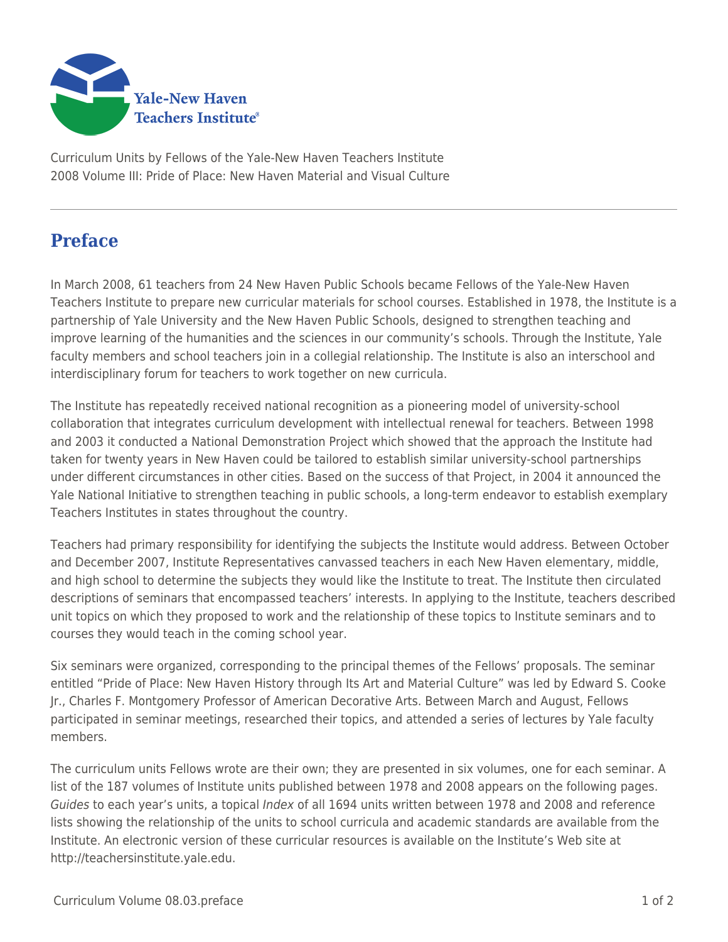

Curriculum Units by Fellows of the Yale-New Haven Teachers Institute 2008 Volume III: Pride of Place: New Haven Material and Visual Culture

## **Preface**

In March 2008, 61 teachers from 24 New Haven Public Schools became Fellows of the Yale-New Haven Teachers Institute to prepare new curricular materials for school courses. Established in 1978, the Institute is a partnership of Yale University and the New Haven Public Schools, designed to strengthen teaching and improve learning of the humanities and the sciences in our community's schools. Through the Institute, Yale faculty members and school teachers join in a collegial relationship. The Institute is also an interschool and interdisciplinary forum for teachers to work together on new curricula.

The Institute has repeatedly received national recognition as a pioneering model of university-school collaboration that integrates curriculum development with intellectual renewal for teachers. Between 1998 and 2003 it conducted a National Demonstration Project which showed that the approach the Institute had taken for twenty years in New Haven could be tailored to establish similar university-school partnerships under different circumstances in other cities. Based on the success of that Project, in 2004 it announced the Yale National Initiative to strengthen teaching in public schools, a long-term endeavor to establish exemplary Teachers Institutes in states throughout the country.

Teachers had primary responsibility for identifying the subjects the Institute would address. Between October and December 2007, Institute Representatives canvassed teachers in each New Haven elementary, middle, and high school to determine the subjects they would like the Institute to treat. The Institute then circulated descriptions of seminars that encompassed teachers' interests. In applying to the Institute, teachers described unit topics on which they proposed to work and the relationship of these topics to Institute seminars and to courses they would teach in the coming school year.

Six seminars were organized, corresponding to the principal themes of the Fellows' proposals. The seminar entitled "Pride of Place: New Haven History through Its Art and Material Culture" was led by Edward S. Cooke Jr., Charles F. Montgomery Professor of American Decorative Arts. Between March and August, Fellows participated in seminar meetings, researched their topics, and attended a series of lectures by Yale faculty members.

The curriculum units Fellows wrote are their own; they are presented in six volumes, one for each seminar. A list of the 187 volumes of Institute units published between 1978 and 2008 appears on the following pages. Guides to each year's units, a topical Index of all 1694 units written between 1978 and 2008 and reference lists showing the relationship of the units to school curricula and academic standards are available from the Institute. An electronic version of these curricular resources is available on the Institute's Web site at http://teachersinstitute.yale.edu.